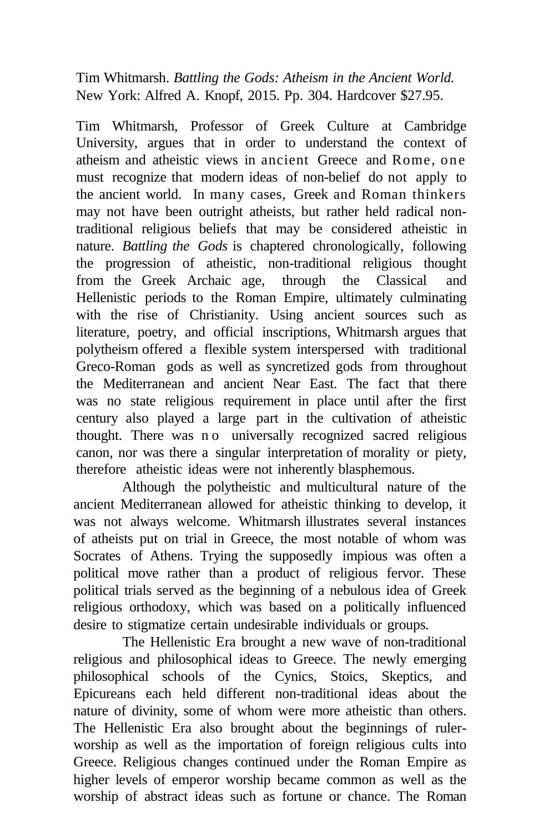Tim Whitmarsh. *Battling the Gods: Atheism in the Ancient World.* New York: Alfred A. Knopf, 2015. Pp. 304. Hardcover \$27.95.

Tim Whitmarsh, Professor of Greek Culture at Cambridge University, argues that in order to understand the context of atheism and atheistic views in ancient Greece and Rome, one must recognize that modern ideas of non-belief do not apply to the ancient world. In many cases, Greek and Roman thinkers may not have been outright atheists, but rather held radical nontraditional religious beliefs that may be considered atheistic in nature. *Battling the Gods* is chaptered chronologically, following the progression of atheistic, non-traditional religious thought from the Greek Archaic age, through the Classical and Hellenistic periods to the Roman Empire, ultimately culminating with the rise of Christianity. Using ancient sources such as literature, poetry, and official inscriptions, Whitmarsh argues that polytheism offered a flexible system interspersed with traditional Greco-Roman gods as well as syncretized gods from throughout the Mediterranean and ancient Near East. The fact that there was no state religious requirement in place until after the first century also played a large part in the cultivation of atheistic thought. There was n o universally recognized sacred religious canon, nor was there a singular interpretation of morality or piety, therefore atheistic ideas were not inherently blasphemous.

Although the polytheistic and multicultural nature of the ancient Mediterranean allowed for atheistic thinking to develop, it was not always welcome. Whitmarsh illustrates several instances of atheists put on trial in Greece, the most notable of whom was Socrates of Athens. Trying the supposedly impious was often a political move rather than a product of religious fervor. These political trials served as the beginning of a nebulous idea of Greek religious orthodoxy, which was based on a politically influenced desire to stigmatize certain undesirable individuals or groups.

The Hellenistic Era brought a new wave of non-traditional religious and philosophical ideas to Greece. The newly emerging philosophical schools of the Cynics, Stoics, Skeptics, and Epicureans each held different non-traditional ideas about the nature of divinity, some of whom were more atheistic than others. The Hellenistic Era also brought about the beginnings of rulerworship as well as the importation of foreign religious cults into Greece. Religious changes continued under the Roman Empire as higher levels of emperor worship became common as well as the worship of abstract ideas such as fortune or chance. The Roman